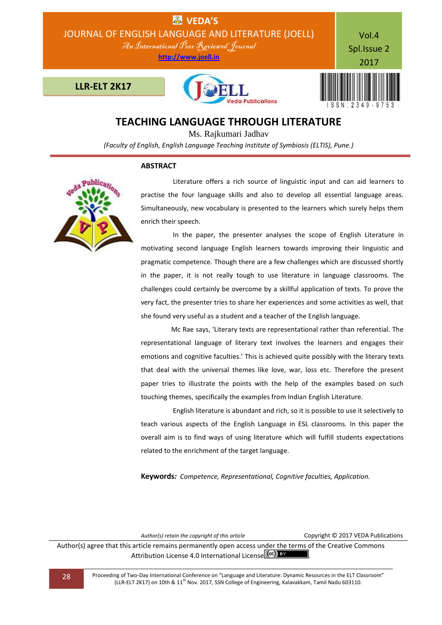

# **TEACHING LANGUAGE THROUGH LITERATURE**

Ms. Rajkumari Jadhav

*(Faculty of English, English Language Teaching Institute of Symbiosis (ELTIS), Pune.)*

#### **ABSTRACT**



 Literature offers a rich source of linguistic input and can aid learners to practise the four language skills and also to develop all essential language areas. Simultaneously, new vocabulary is presented to the learners which surely helps them enrich their speech.

 In the paper, the presenter analyses the scope of English Literature in motivating second language English learners towards improving their linguistic and pragmatic competence. Though there are a few challenges which are discussed shortly in the paper, it is not really tough to use literature in language classrooms. The challenges could certainly be overcome by a skillful application of texts. To prove the very fact, the presenter tries to share her experiences and some activities as well, that she found very useful as a student and a teacher of the English language.

 Mc Rae says, 'Literary texts are representational rather than referential. The representational language of literary text involves the learners and engages their emotions and cognitive faculties.' This is achieved quite possibly with the literary texts that deal with the universal themes like love, war, loss etc. Therefore the present paper tries to illustrate the points with the help of the examples based on such touching themes, specifically the examples from Indian English Literature.

 English literature is abundant and rich, so it is possible to use it selectively to teach various aspects of the English Language in ESL classrooms. In this paper the overall aim is to find ways of using literature which will fulfill students expectations related to the enrichment of the target language.

**Keywords***: Competence, Representational, Cognitive faculties, Application.*

*Author(s) retain the copyright of this article* Copyright © 2017 VEDA Publications

Author(s) agree that this article remains permanently open access under the terms of the Creative Commons Attribution License 4.0 International License (CC) EY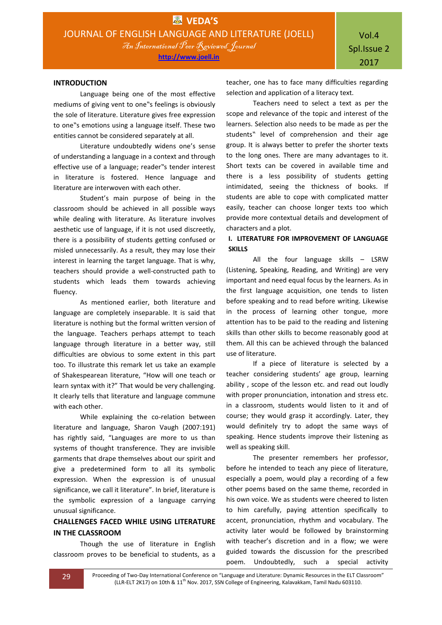#### **INTRODUCTION**

Language being one of the most effective mediums of giving vent to one"s feelings is obviously the sole of literature. Literature gives free expression to one"s emotions using a language itself. These two entities cannot be considered separately at all.

Literature undoubtedly widens one's sense of understanding a language in a context and through effective use of a language; reader"s tender interest in literature is fostered. Hence language and literature are interwoven with each other.

Student's main purpose of being in the classroom should be achieved in all possible ways while dealing with literature. As literature involves aesthetic use of language, if it is not used discreetly, there is a possibility of students getting confused or misled unnecessarily. As a result, they may lose their interest in learning the target language. That is why, teachers should provide a well-constructed path to students which leads them towards achieving fluency.

As mentioned earlier, both literature and language are completely inseparable. It is said that literature is nothing but the formal written version of the language. Teachers perhaps attempt to teach language through literature in a better way, still difficulties are obvious to some extent in this part too. To illustrate this remark let us take an example of Shakespearean literature, "How will one teach or learn syntax with it?" That would be very challenging. It clearly tells that literature and language commune with each other.

While explaining the co-relation between literature and language, Sharon Vaugh (2007:191) has rightly said, "Languages are more to us than systems of thought transference. They are invisible garments that drape themselves about our spirit and give a predetermined form to all its symbolic expression. When the expression is of unusual significance, we call it literature". In brief, literature is the symbolic expression of a language carrying unusual significance.

# **CHALLENGES FACED WHILE USING LITERATURE IN THE CLASSROOM**

Though the use of literature in English classroom proves to be beneficial to students, as a

teacher, one has to face many difficulties regarding selection and application of a literacy text.

Teachers need to select a text as per the scope and relevance of the topic and interest of the learners. Selection also needs to be made as per the students" level of comprehension and their age group. It is always better to prefer the shorter texts to the long ones. There are many advantages to it. Short texts can be covered in available time and there is a less possibility of students getting intimidated, seeing the thickness of books. If students are able to cope with complicated matter easily, teacher can choose longer texts too which provide more contextual details and development of characters and a plot.

# **I. LITERATURE FOR IMPROVEMENT OF LANGUAGE SKILLS**

All the four language skills – LSRW (Listening, Speaking, Reading, and Writing) are very important and need equal focus by the learners. As in the first language acquisition, one tends to listen before speaking and to read before writing. Likewise in the process of learning other tongue, more attention has to be paid to the reading and listening skills than other skills to become reasonably good at them. All this can be achieved through the balanced use of literature.

If a piece of literature is selected by a teacher considering students' age group, learning ability , scope of the lesson etc. and read out loudly with proper pronunciation, intonation and stress etc. in a classroom, students would listen to it and of course; they would grasp it accordingly. Later, they would definitely try to adopt the same ways of speaking. Hence students improve their listening as well as speaking skill.

The presenter remembers her professor, before he intended to teach any piece of literature, especially a poem, would play a recording of a few other poems based on the same theme, recorded in his own voice. We as students were cheered to listen to him carefully, paying attention specifically to accent, pronunciation, rhythm and vocabulary. The activity later would be followed by brainstorming with teacher's discretion and in a flow; we were guided towards the discussion for the prescribed poem. Undoubtedly, such a special activity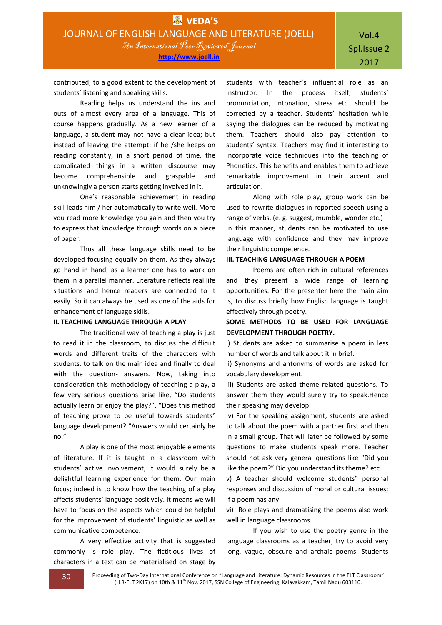contributed, to a good extent to the development of students' listening and speaking skills.

Reading helps us understand the ins and outs of almost every area of a language. This of course happens gradually. As a new learner of a language, a student may not have a clear idea; but instead of leaving the attempt; if he /she keeps on reading constantly, in a short period of time, the complicated things in a written discourse may become comprehensible and graspable and unknowingly a person starts getting involved in it.

One's reasonable achievement in reading skill leads him / her automatically to write well. More you read more knowledge you gain and then you try to express that knowledge through words on a piece of paper.

Thus all these language skills need to be developed focusing equally on them. As they always go hand in hand, as a learner one has to work on them in a parallel manner. Literature reflects real life situations and hence readers are connected to it easily. So it can always be used as one of the aids for enhancement of language skills.

### **II. TEACHING LANGUAGE THROUGH A PLAY**

The traditional way of teaching a play is just to read it in the classroom, to discuss the difficult words and different traits of the characters with students, to talk on the main idea and finally to deal with the question- answers. Now, taking into consideration this methodology of teaching a play, a few very serious questions arise like, "Do students actually learn or enjoy the play?", "Does this method of teaching prove to be useful towards students" language development? "Answers would certainly be no."

A play is one of the most enjoyable elements of literature. If it is taught in a classroom with students' active involvement, it would surely be a delightful learning experience for them. Our main focus; indeed is to know how the teaching of a play affects students' language positively. It means we will have to focus on the aspects which could be helpful for the improvement of students' linguistic as well as communicative competence.

A very effective activity that is suggested commonly is role play. The fictitious lives of characters in a text can be materialised on stage by students with teacher's influential role as an instructor. In the process itself, students' pronunciation, intonation, stress etc. should be corrected by a teacher. Students' hesitation while saying the dialogues can be reduced by motivating them. Teachers should also pay attention to students' syntax. Teachers may find it interesting to incorporate voice techniques into the teaching of Phonetics. This benefits and enables them to achieve remarkable improvement in their accent and articulation.

Along with role play, group work can be used to rewrite dialogues in reported speech using a range of verbs. (e. g. suggest, mumble, wonder etc.) In this manner, students can be motivated to use language with confidence and they may improve their linguistic competence.

### **III. TEACHING LANGUAGE THROUGH A POEM**

Poems are often rich in cultural references and they present a wide range of learning opportunities. For the presenter here the main aim is, to discuss briefly how English language is taught effectively through poetry.

# **SOME METHODS TO BE USED FOR LANGUAGE DEVELOPMENT THROUGH POETRY.**

i) Students are asked to summarise a poem in less number of words and talk about it in brief.

ii) Synonyms and antonyms of words are asked for vocabulary development.

iii) Students are asked theme related questions. To answer them they would surely try to speak.Hence their speaking may develop.

iv) For the speaking assignment, students are asked to talk about the poem with a partner first and then in a small group. That will later be followed by some questions to make students speak more. Teacher should not ask very general questions like "Did you like the poem?" Did you understand its theme? etc.

v) A teacher should welcome students" personal responses and discussion of moral or cultural issues; if a poem has any.

vi) Role plays and dramatising the poems also work well in language classrooms.

If you wish to use the poetry genre in the language classrooms as a teacher, try to avoid very long, vague, obscure and archaic poems. Students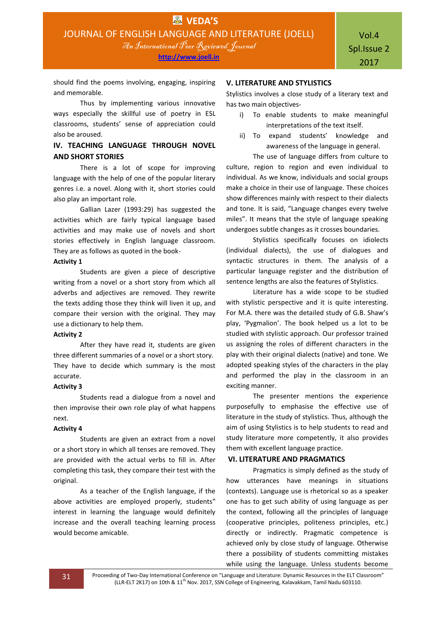**http://www.joell.in**

should find the poems involving, engaging, inspiring and memorable.

Thus by implementing various innovative ways especially the skillful use of poetry in ESL classrooms, students' sense of appreciation could also be aroused.

# **IV. TEACHING LANGUAGE THROUGH NOVEL AND SHORT STORIES**

There is a lot of scope for improving language with the help of one of the popular literary genres i.e. a novel. Along with it, short stories could also play an important role.

Gallian Lazer (1993:29) has suggested the activities which are fairly typical language based activities and may make use of novels and short stories effectively in English language classroom. They are as follows as quoted in the book-

#### **Activity 1**

Students are given a piece of descriptive writing from a novel or a short story from which all adverbs and adjectives are removed. They rewrite the texts adding those they think will liven it up, and compare their version with the original. They may use a dictionary to help them.

#### **Activity 2**

After they have read it, students are given three different summaries of a novel or a short story. They have to decide which summary is the most accurate.

### **Activity 3**

Students read a dialogue from a novel and then improvise their own role play of what happens next.

### **Activity 4**

Students are given an extract from a novel or a short story in which all tenses are removed. They are provided with the actual verbs to fill in. After completing this task, they compare their test with the original.

As a teacher of the English language, if the above activities are employed properly, students" interest in learning the language would definitely increase and the overall teaching learning process would become amicable.

### **V. LITERATURE AND STYLISTICS**

Stylistics involves a close study of a literary text and has two main objectives-

- i) To enable students to make meaningful interpretations of the text itself.
- ii) To expand students' knowledge and awareness of the language in general.

The use of language differs from culture to culture, region to region and even individual to individual. As we know, individuals and social groups make a choice in their use of language. These choices show differences mainly with respect to their dialects and tone. It is said, "Language changes every twelve miles". It means that the style of language speaking undergoes subtle changes as it crosses boundaries.

Stylistics specifically focuses on idiolects (individual dialects), the use of dialogues and syntactic structures in them. The analysis of a particular language register and the distribution of sentence lengths are also the features of Stylistics.

Literature has a wide scope to be studied with stylistic perspective and it is quite interesting. For M.A. there was the detailed study of G.B. Shaw's play, 'Pygmalion'. The book helped us a lot to be studied with stylistic approach. Our professor trained us assigning the roles of different characters in the play with their original dialects (native) and tone. We adopted speaking styles of the characters in the play and performed the play in the classroom in an exciting manner.

The presenter mentions the experience purposefully to emphasise the effective use of literature in the study of stylistics. Thus, although the aim of using Stylistics is to help students to read and study literature more competently, it also provides them with excellent language practice.

## **VI. LITERATURE AND PRAGMATICS**

Pragmatics is simply defined as the study of how utterances have meanings in situations (contexts). Language use is rhetorical so as a speaker one has to get such ability of using language as per the context, following all the principles of language (cooperative principles, politeness principles, etc.) directly or indirectly. Pragmatic competence is achieved only by close study of language. Otherwise there a possibility of students committing mistakes while using the language. Unless students become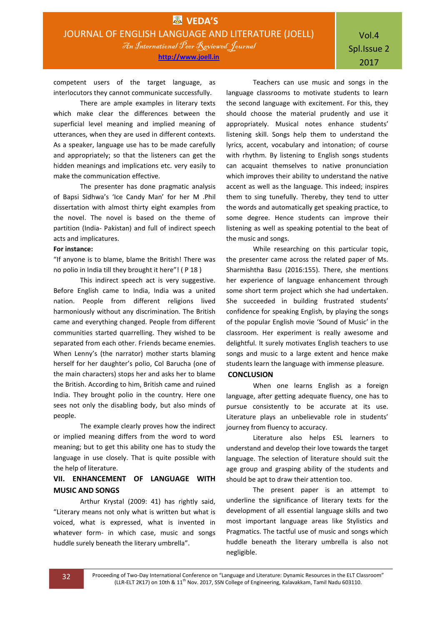Vol.4 Spl.Issue 2 2017

competent users of the target language, as interlocutors they cannot communicate successfully.

There are ample examples in literary texts which make clear the differences between the superficial level meaning and implied meaning of utterances, when they are used in different contexts. As a speaker, language use has to be made carefully and appropriately; so that the listeners can get the hidden meanings and implications etc. very easily to make the communication effective.

The presenter has done pragmatic analysis of Bapsi Sidhwa's 'Ice Candy Man' for her M .Phil dissertation with almost thirty eight examples from the novel. The novel is based on the theme of partition (India- Pakistan) and full of indirect speech acts and implicatures.

#### **For instance:**

"If anyone is to blame, blame the British! There was no polio in India till they brought it here"! ( P 18 )

This indirect speech act is very suggestive. Before English came to India, India was a united nation. People from different religions lived harmoniously without any discrimination. The British came and everything changed. People from different communities started quarrelling. They wished to be separated from each other. Friends became enemies. When Lenny's (the narrator) mother starts blaming herself for her daughter's polio, Col Barucha (one of the main characters) stops her and asks her to blame the British. According to him, British came and ruined India. They brought polio in the country. Here one sees not only the disabling body, but also minds of people.

The example clearly proves how the indirect or implied meaning differs from the word to word meaning; but to get this ability one has to study the language in use closely. That is quite possible with the help of literature.

# **VII. ENHANCEMENT OF LANGUAGE WITH MUSIC AND SONGS**

Arthur Krystal (2009: 41) has rightly said, "Literary means not only what is written but what is voiced, what is expressed, what is invented in whatever form- in which case, music and songs huddle surely beneath the literary umbrella".

Teachers can use music and songs in the language classrooms to motivate students to learn the second language with excitement. For this, they should choose the material prudently and use it appropriately. Musical notes enhance students' listening skill. Songs help them to understand the lyrics, accent, vocabulary and intonation; of course with rhythm. By listening to English songs students can acquaint themselves to native pronunciation which improves their ability to understand the native accent as well as the language. This indeed; inspires them to sing tunefully. Thereby, they tend to utter the words and automatically get speaking practice, to some degree. Hence students can improve their listening as well as speaking potential to the beat of the music and songs.

While researching on this particular topic, the presenter came across the related paper of Ms. Sharmishtha Basu (2016:155). There, she mentions her experience of language enhancement through some short term project which she had undertaken. She succeeded in building frustrated students' confidence for speaking English, by playing the songs of the popular English movie 'Sound of Music' in the classroom. Her experiment is really awesome and delightful. It surely motivates English teachers to use songs and music to a large extent and hence make students learn the language with immense pleasure.

# **CONCLUSION**

When one learns English as a foreign language, after getting adequate fluency, one has to pursue consistently to be accurate at its use. Literature plays an unbelievable role in students' journey from fluency to accuracy.

Literature also helps ESL learners to understand and develop their love towards the target language. The selection of literature should suit the age group and grasping ability of the students and should be apt to draw their attention too.

The present paper is an attempt to underline the significance of literary texts for the development of all essential language skills and two most important language areas like Stylistics and Pragmatics. The tactful use of music and songs which huddle beneath the literary umbrella is also not negligible.